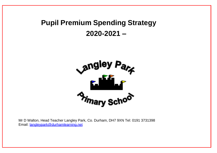## **Pupil Premium Spending Strategy 2020-2021 –**



Mr D Walton, Head Teacher Langley Park, Co. Durham, DH7 9XN Tel: 0191 3731398 Email: [langleypark@durhamlearning.net](mailto:langleypark@durhamlearning.net)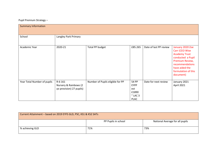## Pupil Premium Strategy –

| <b>Summary Information</b>  |                                                              |                                  |                                                                  |                        |                                                                                                                                                                             |
|-----------------------------|--------------------------------------------------------------|----------------------------------|------------------------------------------------------------------|------------------------|-----------------------------------------------------------------------------------------------------------------------------------------------------------------------------|
| School                      | Langley Park Primary                                         |                                  |                                                                  |                        |                                                                                                                                                                             |
| Academic Year               | 2020-21                                                      | Total PP budget                  | £85.265                                                          | Date of last PP review | January 2020 Zoe<br>Carr (CEO Wise<br><b>Academy Trust</b><br>conducted a Pupil<br>Premium Review,<br>recommendations<br>have aided the<br>formulation of this<br>document) |
| Year Total Number of pupils | R-6 161<br>Nursery & Rainbows (2<br>yo provision) 27 pupils) | Number of Pupils eligible for PP | 54 PP<br><b>EYPP</b><br>est<br>£1890<br>$"$ LAC 3<br><b>PLAC</b> | Date for next review   | January 2021<br>April 2021                                                                                                                                                  |

| Current Attainment - based on 2019 EYFS GLD, PSC, KS1 & KS2 SATs |                     |                                 |  |  |  |
|------------------------------------------------------------------|---------------------|---------------------------------|--|--|--|
|                                                                  | PP Pupils in school | National Average for all pupils |  |  |  |
| % achieving GLD                                                  | 71%                 | 73%                             |  |  |  |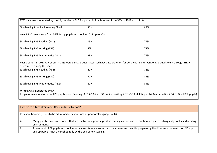| EYFS data was moderated by the LA, the rise in GLD for pp pupils in school was from 38% in 2018 up to 71%                                                                                  |                                                                            |                                                                                                                                                     |  |  |  |  |
|--------------------------------------------------------------------------------------------------------------------------------------------------------------------------------------------|----------------------------------------------------------------------------|-----------------------------------------------------------------------------------------------------------------------------------------------------|--|--|--|--|
| % achieving Phonics Screening Check                                                                                                                                                        | 80%                                                                        | 84%                                                                                                                                                 |  |  |  |  |
|                                                                                                                                                                                            | Year 1 PSC results rose from 56% for pp pupils in school in 2018 up to 80% |                                                                                                                                                     |  |  |  |  |
| % achieving EXS Reading (KS1)                                                                                                                                                              | 15%                                                                        | 79%                                                                                                                                                 |  |  |  |  |
| % achieving EXS Writing (KS1)                                                                                                                                                              | 8%                                                                         | 72%                                                                                                                                                 |  |  |  |  |
| % achieving EXS Mathematics (KS1)                                                                                                                                                          | 23%                                                                        | 79%                                                                                                                                                 |  |  |  |  |
| assessment during the year.                                                                                                                                                                |                                                                            | Year 2 cohort in 2018 (17 pupils) - 23% were SEND, 2 pupils accessed specialist provision for behavioural interventions, 2 pupils went through EHCP |  |  |  |  |
| % achieving EXS Reading (KS2)                                                                                                                                                              | 40%                                                                        | 78%                                                                                                                                                 |  |  |  |  |
| % achieving EXS Writing (KS2)                                                                                                                                                              | 70%                                                                        | 83%                                                                                                                                                 |  |  |  |  |
| % achieving EXS Mathematics (KS2)                                                                                                                                                          | 80%                                                                        | 84%                                                                                                                                                 |  |  |  |  |
| Writing was moderated by LA<br>Progress measures for school PP pupils were: Reading -3.63 (-1.65 all KS2 pupils) Writing 2.76 (3.11 all KS2 pupils) Mathematics 2.04 (1.84 all KS2 pupils) |                                                                            |                                                                                                                                                     |  |  |  |  |

|    | Barriers to future attainment (for pupils eligible for PP)                                                                                  |
|----|---------------------------------------------------------------------------------------------------------------------------------------------|
|    | In-school barriers (issues to be addressed in school such as poor oral language skills)                                                     |
| Α. | Many pupils come from homes that are unable to support a positive reading culture and do not have easy access to quality books and reading  |
|    | environments.                                                                                                                               |
| В. | Attainment of PP pupils in school in some cases is much lower than their peers and despite progressing the difference between non PP pupils |
|    | and pp pupils is not diminished fully by the end of Key Stage 2.                                                                            |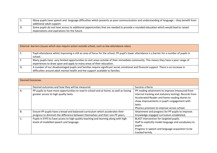| J. | Many pupils have speech and language difficulties which presents as poor communication and understanding of language – they benefit from |
|----|------------------------------------------------------------------------------------------------------------------------------------------|
|    | additional adult support.                                                                                                                |
| D. | Some pupils do not have access to additional opportunities that are needed to provide a rounded education which would lead to raised     |
|    | expectations and aspirations for the future.                                                                                             |

|     | External barriers (issues which also require action outside school, such as low attendance rates)                                                                                                                        |  |  |  |  |
|-----|--------------------------------------------------------------------------------------------------------------------------------------------------------------------------------------------------------------------------|--|--|--|--|
| IE. | Pupil attendance whilst improving is still an area of focus for the school, PP pupil's lower attendance is a barrier for a number of pupils in<br>school.                                                                |  |  |  |  |
| F.  | Many pupils have very limited opportunities to visit areas outside of their immediate community. This means they have a poor range of<br>experiences to draw upon and apply to many areas of their education.            |  |  |  |  |
| G.  | A number of our disadvantaged pupils and families require significant social, emotional and financial support. There is an increase in<br>difficulties around adult mental health and the support available to families. |  |  |  |  |

| <b>Desired Outcomes</b> |                                                                                       |                                                                                                |
|-------------------------|---------------------------------------------------------------------------------------|------------------------------------------------------------------------------------------------|
|                         | Desired outcomes and how they will be measured                                        | Success criteria                                                                               |
| Α.                      | PP pupils to have more opportunities to read in school and at home, as well as having | PP reading attainment to improve (measured from                                                |
|                         | greater access to high quality texts.                                                 | internal tracking and statutory testing). Records from                                         |
|                         |                                                                                       | Accelerated Reader and home reading diaries to<br>show improvements in pupil's engagement with |
|                         |                                                                                       | texts.                                                                                         |
|                         |                                                                                       | Phonics provision to improve across school.                                                    |
| <b>B.</b>               | Ensure PP pupils have a broad and balanced curriculum which accelerates their         | Attainment and progress for PP pupils to improve.                                              |
|                         | progress to diminish the difference between themselves and their non PP peers.        | Knowledge engaged curriculum established.                                                      |
|                         | Pupils in EYFS to have access to high quality teaching and learning along with high   | BLAST intervention for targeted pupils.                                                        |
|                         | levels of modelled speech and language.                                               | Staff to explicitly model language and vocabulary to                                           |
|                         |                                                                                       | pupils.                                                                                        |
|                         |                                                                                       | Progress in speech and language acquisition to be                                              |
|                         |                                                                                       | tracked termly.                                                                                |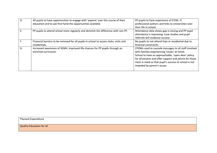| D. | All pupils to have opportunities to engage with 'experts' over the course of their    | PP pupils to have experience of STEM, IT,              |
|----|---------------------------------------------------------------------------------------|--------------------------------------------------------|
|    | education and to see first hand the opportunities available.                          | professional authors and links to Universities over    |
|    |                                                                                       | their life in school.                                  |
| Е. | PP pupils to attend school more regularly and diminish the difference with non PP.    | Attendance data shows gap is closing and PP pupil      |
|    |                                                                                       | attendance is improving. Case studies and pupil        |
|    |                                                                                       | referrals will evidence success.                       |
| F. | Financial barriers to be removed for all pupils in school to access clubs, visits and | No pupils to not attend trips or residential due to    |
|    | residentials.                                                                         | financial constraints.                                 |
| G. | Increased awareness of SEMH, improved life chances for PP pupils through an           | CPOMs used to cascade messages to all staff involved   |
|    | enriched curriculum.                                                                  | with families experiencing 'issues' at home.           |
|    |                                                                                       | School to have an approachable, 'open door' policy     |
|    |                                                                                       | for all parents and offer support and advice for those |
|    |                                                                                       | most in need so that pupil's success at school is not  |
|    |                                                                                       | impeded by parent's issues.                            |
|    |                                                                                       |                                                        |

Planned Expenditure

Quality Education for all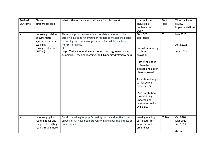| Desired<br>Outcome | Chosen<br>action/approach                                                                            | What is the evidence and rationale for this choice?                                                                                                                                                                                                                                                                                  | How will you<br>ensure it is<br>implemented<br>well?                                                                                                                                                                                                                                                           | Staff<br>lead | When will you<br>review<br>implementation?           |
|--------------------|------------------------------------------------------------------------------------------------------|--------------------------------------------------------------------------------------------------------------------------------------------------------------------------------------------------------------------------------------------------------------------------------------------------------------------------------------|----------------------------------------------------------------------------------------------------------------------------------------------------------------------------------------------------------------------------------------------------------------------------------------------------------------|---------------|------------------------------------------------------|
| А.                 | Improve provision<br>of systematic<br>synthetic phonics<br>teaching<br>throughout school<br>(RWInc). | Phonics approaches have been consistently found to be<br>effective in supporting younger readers to master the basics<br>of reading, with an average impact of an additional four<br>months' progress.<br>EEF<br>https://educationendowmentfoundation.org.uk/evidence-<br>summaries/teaching-learning-toolkit/phonics/#effectiveness | <b>Staff CPD</b><br>prioritised<br>Robust monitoring<br>of phonics<br>provision<br>Ruth Miskin face<br>to face days<br>booked and action<br>plans followed<br>Aspirational target<br>set for year 1<br>cohort in PSC<br>KS 2 staff to have<br>their training<br>updated and<br>resources readily<br>available. | ES            | <b>Nov 2020</b><br>April 2021<br>June 2021           |
| А.                 | Increase pupil's<br>reading focus and<br>range of texts they<br>read through more                    | Careful 'levelling' of pupil's reading books and motivational<br>aspects of AR have been proven to make a positive impact on<br>pupil's reading                                                                                                                                                                                      | Weekly reading<br>certificates for<br>whole school<br>assemblies                                                                                                                                                                                                                                               | ES DW         | Oct 2020<br>Mar 2021<br><b>July 2021</b><br>(termly) |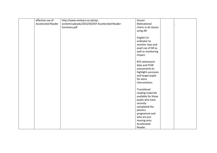| effective use of          | http://www.renlearn.co.uk/wp-                   | Ensure                |  |
|---------------------------|-------------------------------------------------|-----------------------|--|
| <b>Accelerated Reader</b> | content/uploads/2015/03/EEF-Accelerated-Reader- | Motivational          |  |
|                           | Summary.pdf                                     | charts in all classes |  |
|                           |                                                 | using AR              |  |
|                           |                                                 |                       |  |
|                           |                                                 | English Co-           |  |
|                           |                                                 | ordinator to          |  |
|                           |                                                 |                       |  |
|                           |                                                 | monitor class and     |  |
|                           |                                                 | pupil use of AR as    |  |
|                           |                                                 | well as monitoring    |  |
|                           |                                                 | impact.               |  |
|                           |                                                 |                       |  |
|                           |                                                 | NTS attainment        |  |
|                           |                                                 | data and STAR         |  |
|                           |                                                 | assessments to        |  |
|                           |                                                 | highlight successes   |  |
|                           |                                                 | and target pupils     |  |
|                           |                                                 | for extra             |  |
|                           |                                                 | interventions.        |  |
|                           |                                                 |                       |  |
|                           |                                                 | Transitional          |  |
|                           |                                                 | reading materials     |  |
|                           |                                                 | available for those   |  |
|                           |                                                 | pupils who have       |  |
|                           |                                                 | recently              |  |
|                           |                                                 | completed the         |  |
|                           |                                                 | phonics               |  |
|                           |                                                 | programme and         |  |
|                           |                                                 | who are just          |  |
|                           |                                                 | moving onto           |  |
|                           |                                                 | Accelerated           |  |
|                           |                                                 | Reader.               |  |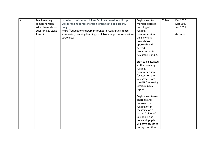| A. | Teach reading         | In order to build upon children's phonics used to build up | English lead to      | ES DW | Dec 2020         |
|----|-----------------------|------------------------------------------------------------|----------------------|-------|------------------|
|    | comprehension         | words reading comprehension strategies to be explicitly    | monitor discrete     |       | Mar 2021         |
|    | skills discretely for | taught.                                                    | teaching of          |       | <b>July 2021</b> |
|    | pupils in Key stage   | https://educationendowmentfoundation.org.uk/evidence-      | reading              |       |                  |
|    | $1$ and $2$           | summaries/teaching-learning-toolkit/reading-comprehension- | comprehension        |       | (termly)         |
|    |                       | strategies/                                                | skills by class      |       |                  |
|    |                       |                                                            | novel/book           |       |                  |
|    |                       |                                                            | approach and         |       |                  |
|    |                       |                                                            | agreed               |       |                  |
|    |                       |                                                            | programmes for       |       |                  |
|    |                       |                                                            | Key stage 1 and 2.   |       |                  |
|    |                       |                                                            |                      |       |                  |
|    |                       |                                                            | Staff to be assisted |       |                  |
|    |                       |                                                            | so that teaching of  |       |                  |
|    |                       |                                                            | reading              |       |                  |
|    |                       |                                                            | comprehension        |       |                  |
|    |                       |                                                            | focusses on the      |       |                  |
|    |                       |                                                            | key advice from      |       |                  |
|    |                       |                                                            | the EEF 'Improving   |       |                  |
|    |                       |                                                            | Literacy in KS2'     |       |                  |
|    |                       |                                                            | report.              |       |                  |
|    |                       |                                                            |                      |       |                  |
|    |                       |                                                            | English lead to re-  |       |                  |
|    |                       |                                                            | energise and         |       |                  |
|    |                       |                                                            | improve our          |       |                  |
|    |                       |                                                            | reading offer        |       |                  |
|    |                       |                                                            | focussing on a       |       |                  |
|    |                       |                                                            | strong 'spine' of    |       |                  |
|    |                       |                                                            | key books and        |       |                  |
|    |                       |                                                            | novels all pupils    |       |                  |
|    |                       |                                                            | will have access to  |       |                  |
|    |                       |                                                            | during their time    |       |                  |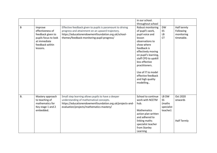|           |                                                                                                                         |                                                                                                                                                                                                                     | in our school.<br>throughout school                                                                                                                                                                                                                                                                       |                                                        |                                                      |
|-----------|-------------------------------------------------------------------------------------------------------------------------|---------------------------------------------------------------------------------------------------------------------------------------------------------------------------------------------------------------------|-----------------------------------------------------------------------------------------------------------------------------------------------------------------------------------------------------------------------------------------------------------------------------------------------------------|--------------------------------------------------------|------------------------------------------------------|
| B         | Improve<br>effectiveness of<br>feedback given to<br>pupils focus to look<br>at immediate<br>feedback within<br>lessons. | Effective feedback given to pupils is paramount to driving<br>progress and attainment on an upward trajectory.<br>https://educationendowmentfoundation.org.uk/school-<br>themes/feedback-monitoring-pupil-progress/ | Robust monitoring<br>of pupil's work,<br>pupil voice and<br>lesson<br>observations to<br>show where<br>feedback is<br>effectively moving<br>on pupil's learning,<br>staff CPD to upskill<br>less effective<br>practitioners.<br>Use of IT to model<br>effective feedback<br>and high quality<br>modelling | <b>DW</b><br><b>ES</b><br>LB<br><b>CT</b>              | Half termly<br>Following<br>monitoring<br>timetable. |
| <b>B.</b> | Mastery approach<br>to teaching of<br>mathematics for<br>Key stage 1 and 2<br>embedded.                                 | Small step learning allows pupils to have a deeper<br>understanding of mathematical concepts.<br>https://educationendowmentfoundation.org.uk/projects-and-<br>evaluation/projects/mathematics-mastery/              | School to continue<br>work with NCETM<br>hub.<br><b>Mathematics</b><br>action plan written<br>and adhered to<br>linking maths<br>specialist teacher<br>from Stanley<br>Learning                                                                                                                           | LB DW<br><b>SS</b><br>(maths<br>specialist<br>teacher) | Oct 2020<br>onwards<br><b>Half Termly</b>            |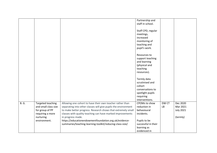|              |                                                                                                               |                                                                                                                                                                                                                                                                                                                                         | Partnership and<br>staff in school.                                                                             |             |                                                      |
|--------------|---------------------------------------------------------------------------------------------------------------|-----------------------------------------------------------------------------------------------------------------------------------------------------------------------------------------------------------------------------------------------------------------------------------------------------------------------------------------|-----------------------------------------------------------------------------------------------------------------|-------------|------------------------------------------------------|
|              |                                                                                                               |                                                                                                                                                                                                                                                                                                                                         | Staff CPD, regular<br>meetings,<br>increased<br>monitoring of<br>teaching and<br>pupil's work.                  |             |                                                      |
|              |                                                                                                               |                                                                                                                                                                                                                                                                                                                                         | Resources to<br>support teaching<br>and learning<br>(physical and<br>teaching<br>resources).                    |             |                                                      |
|              |                                                                                                               |                                                                                                                                                                                                                                                                                                                                         | Termly data<br>scrutinised and<br>cohort<br>conversations to<br>spotlight pupils<br>requiring<br>interventions. |             |                                                      |
| <b>B. G.</b> | Targeted teaching<br>and small class size<br>for group of PP<br>requiring a more<br>nurturing<br>environment. | Allowing one cohort to have their own teacher rather than<br>separating into other classes will give pupils the environment<br>to make better progress. Research shows that extremely small<br>classes with quality teaching can have marked improvements<br>in progress made.<br>https://educationendowmentfoundation.org.uk/evidence- | CPOMs to show<br>reduction in<br>behavioural<br>incidents.<br>Pupils to be                                      | DW CT<br>LB | Dec 2020<br>Mar 2021<br><b>July 2021</b><br>(termly) |
|              |                                                                                                               | summaries/teaching-learning-toolkit/reducing-class-size/                                                                                                                                                                                                                                                                                | successful in their<br>learning as<br>evidenced in                                                              |             |                                                      |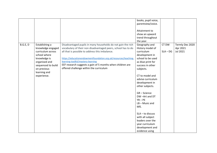|          |                                                                                                                                                                               |                                                                                                                                                                                                                                                                                                                                                                                                   | books, pupil voice,<br>parentview/voice.<br>Attainment to<br>show an upward<br>trend throughout<br>the year.                                                                                                                                                                                                                                                                                                           |                     |                                         |
|----------|-------------------------------------------------------------------------------------------------------------------------------------------------------------------------------|---------------------------------------------------------------------------------------------------------------------------------------------------------------------------------------------------------------------------------------------------------------------------------------------------------------------------------------------------------------------------------------------------|------------------------------------------------------------------------------------------------------------------------------------------------------------------------------------------------------------------------------------------------------------------------------------------------------------------------------------------------------------------------------------------------------------------------|---------------------|-----------------------------------------|
| B.G.E, D | Establishing a<br>knowledge engaged<br>curriculum across<br>school where<br>knowledge is<br>organised and<br>sequenced to build<br>on previous<br>learning and<br>experience. | Disadvantaged pupils in many households do not gain the rich<br>vocabulary of their non disadvantaged peers, school has to do<br>all that is possible to address this imbalance.<br>https://educationendowmentfoundation.org.uk/resources/teaching-<br>learning-toolkit/mastery-learning<br>EEF research suggests a gain of 5 months when children are<br>offered challenge within the curriculum | Geography and<br>History model of<br>curriculum<br>development in<br>school to be used<br>as blue print for<br>success in other<br>subjects.<br>CT to model and<br>advise curriculum<br>development in<br>other subjects.<br>GR-Science<br>DW-Art and DT<br>$YR - PE$<br>$LB - Music$ and<br>MfL<br>$SLA - to$ discuss<br>with all subject<br>leaders over the<br>year curriculum<br>development and<br>evidence using | CT DW<br>$SLA - DG$ | Termly Dec 2020<br>Apr 2021<br>Jul 2021 |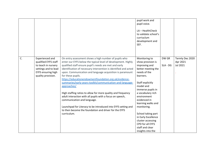|    |                                                                                                                                    |                                                                                                                                                                                                                                                                                                                                                                                                                                                                                                                                                                                                                                                                                                                                                                                  | pupil work and<br>pupil voice.<br>LA-HealthCheck<br>to validate school's<br>curriuclum<br>development and<br>SEF.                                                                                                                                                                                                                                                                   |                   |                                         |
|----|------------------------------------------------------------------------------------------------------------------------------------|----------------------------------------------------------------------------------------------------------------------------------------------------------------------------------------------------------------------------------------------------------------------------------------------------------------------------------------------------------------------------------------------------------------------------------------------------------------------------------------------------------------------------------------------------------------------------------------------------------------------------------------------------------------------------------------------------------------------------------------------------------------------------------|-------------------------------------------------------------------------------------------------------------------------------------------------------------------------------------------------------------------------------------------------------------------------------------------------------------------------------------------------------------------------------------|-------------------|-----------------------------------------|
| C. | Experienced and<br>qualified EYFS staff<br>to teach in nursery<br>settings and to lead<br>EYFS ensuring high<br>quality provision. | On entry assessment shows a high number of pupils who<br>enter our EYFS below the typical level of development. Highly<br>qualified staff ensure pupil's needs are met and early<br>identification of necessary intervention is identified and acted<br>upon. Communication and language acquisition is paramount<br>for these pupils.<br>https://educationendowmentfoundation.org.uk/evidence-<br>summaries/early-years-toolkit/communication-and-language-<br>approaches/<br>High staffing ratios to allow for more quality and frequency<br>adult interaction with all pupils with a focus on speech,<br>communication and language.<br>Launchpad for Literacy to be introduced into EYFS setting and<br>to then become the foundation and driver for the EYFS<br>curriculum. | Monitoring to<br>show provision is<br>improving and<br>better meeting the<br>needs of the<br>learners.<br>Staff explicitly<br>model and<br>immerse pupils in<br>a vocabulary rich<br>environment<br>evidenced in<br>learning walks and<br>monitoring.<br>School taking part<br>in Early Excellence<br>cluster accessing<br>CPD for all EYFS<br>staff and clear<br>insights into the | DW GR<br>SLA - DG | Termly Dec 2020<br>Apr 2021<br>Jul 2021 |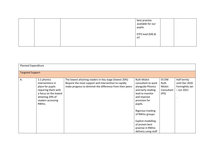|  | best practise<br>available for our<br>pupils. |  |
|--|-----------------------------------------------|--|
|  | EYFS lead (GR) &<br>HT                        |  |

| Planned Expenditure     |                                                                                                                                                        |                                                                                                                                                                             |                                                                                                                                                  |                                               |                                                                  |  |
|-------------------------|--------------------------------------------------------------------------------------------------------------------------------------------------------|-----------------------------------------------------------------------------------------------------------------------------------------------------------------------------|--------------------------------------------------------------------------------------------------------------------------------------------------|-----------------------------------------------|------------------------------------------------------------------|--|
|                         |                                                                                                                                                        |                                                                                                                                                                             |                                                                                                                                                  |                                               |                                                                  |  |
| <b>Targeted Support</b> |                                                                                                                                                        |                                                                                                                                                                             |                                                                                                                                                  |                                               |                                                                  |  |
| Α.                      | 1:1 phonics<br>interventions in<br>place for pupils<br>requiring them with<br>a focus on the lowest<br>attaining 20% of<br>readers accessing<br>RWInc. | The lowest attaining readers in Key stage (lowest 20%)<br>Require the most support and intervention to rapidly<br>make progress to diminish the difference from their peers | <b>Ruth Miskin</b><br>consultant to work<br>alongside Phonics<br>and early reading<br>lead to monitor<br>and improve<br>provision for<br>pupils. | ES DW<br>Ruth<br>Miskin<br>Consultant<br>(PD) | Half termly<br>until Dec 2020<br>Fortnightly Jan<br>$-$ Jun 2021 |  |
|                         |                                                                                                                                                        |                                                                                                                                                                             | Rigorous tracking<br>of RWInc groups.<br><b>Explicit modelling</b><br>of proven best<br>practise in RWInc<br>delivery using staff                |                                               |                                                                  |  |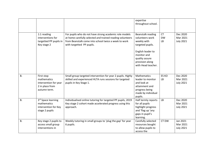|           |                                                                                       |                                                                                                                                                                                                          | expertise<br>throughout school.                                                                                                                                        |                              |                                          |
|-----------|---------------------------------------------------------------------------------------|----------------------------------------------------------------------------------------------------------------------------------------------------------------------------------------------------------|------------------------------------------------------------------------------------------------------------------------------------------------------------------------|------------------------------|------------------------------------------|
|           | 1:1 reading<br>interventions for<br>targetted PP pupils in<br>Key stage 2             | For pupils who do not have strong academic role models<br>at home carefully selected and trained reading volunteers<br>from Beanstalk come into school twice a week to work<br>with targetted PP pupils. | Beanstalk reading<br>volunteers work<br>weekly with<br>targeted pupils.<br>English leader to<br>monitor and<br>quality assure<br>provision along<br>with Head teacher. | <b>CT</b><br><b>DW</b><br>LB | Dec 2020<br>Mar 2021<br><b>July 2021</b> |
| <b>B.</b> | First stop<br>mathematics<br>intervention for year<br>2 in place from<br>autumn term. | Small group targeted intervention for year 2 pupils. Highly<br>skilled and experienced HLTA runs sessions for targeted<br>pupils in Key Stage 1.                                                         | <b>Mathematics</b><br>leader to monitor<br>and look at<br>attainment and<br>progress being<br>made by individual<br>pupils.                                            | ES KO<br>LB                  | Dec 2020<br>Mar 2021<br><b>July 2021</b> |
| <b>B.</b> | 3rd Space learning<br>mathematics<br>intervention for Key<br>stage 2 pupils           | Individualised online tutoring for targeted PP pupils, 2019<br>Key stage 2 cohort made accelerated progress using this<br>approach.                                                                      | Half termly reports<br>for all pupils<br>highlight progress<br>and 'flag up 'any<br>gaps in pupil's<br>learning.                                                       | LB                           | Dec 2020<br>Mar 2021<br><b>July 2021</b> |
| <b>B.</b> | Key stage 2 pupils to<br>access small group<br>interventions in                       | Weekly tutoring in small groups to 'plug the gap' for year<br>6 pupils.                                                                                                                                  | Carefully selected<br>resources bought<br>to allow pupils to<br>access the                                                                                             | CT DW                        | Jan 2021<br>Mar 2021<br><b>July 2021</b> |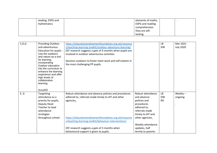| reading, ESPG and | elements of maths,      |  |
|-------------------|-------------------------|--|
| mathematics       | <b>ESPG and reading</b> |  |
|                   | comprehension           |  |
|                   | they are still          |  |
|                   | lacking.                |  |

| C, D, G | Providing Outdoor<br>and adventurous<br>Education for pupils -<br>Use the outdoors<br>and nature as a tool<br>for learning,<br>incorporating<br>Outdoor education<br>into the curriculum to<br>enhance the learning<br>experience and offer<br>high levels of<br>collaborative | https://educationendowmentfoundation.org.uk/resource<br>s/teaching-learning-toolkit/outdoor-adventure-learning/<br>EEF research suggests a gain of 4 months when pupils are<br>involved in outdoor adventurous activities.<br>Sessions outdoors to foster team work and self esteem in<br>the most challenging PP pupils. |                                                                                                                                         | <b>LB</b><br><b>DW</b>       | Mar 2021<br><b>July 2020</b> |
|---------|--------------------------------------------------------------------------------------------------------------------------------------------------------------------------------------------------------------------------------------------------------------------------------|---------------------------------------------------------------------------------------------------------------------------------------------------------------------------------------------------------------------------------------------------------------------------------------------------------------------------|-----------------------------------------------------------------------------------------------------------------------------------------|------------------------------|------------------------------|
|         | learning.<br>ScoutED                                                                                                                                                                                                                                                           |                                                                                                                                                                                                                                                                                                                           |                                                                                                                                         |                              |                              |
| E, G    | Targetting<br>attendance as a<br>priority for pupils,<br>Deputy Head<br>Teacher to lead<br>attendance<br>strategies<br>throughout school.                                                                                                                                      | Robust attendance and absence policies and procedures<br>adhered to, referrals made timely to AIT and other<br>agencies.<br>https://educationendowmentfoundation.org.uk/resource<br>s/teaching-learning-toolkit/behaviour-interventions/                                                                                  | Robust attendance<br>and absence<br>policies and<br>procedures<br>adhered to,<br>referrals made<br>timely to AIT and<br>other agencies. | LB<br><b>DW</b><br><b>RD</b> | Weekly $-$<br>ongoing        |
|         |                                                                                                                                                                                                                                                                                | EEF research suggests a gain of 3 months when<br>behavioural support is given to pupils.                                                                                                                                                                                                                                  | Weekly attendance<br>updates, half<br>termly to parents                                                                                 |                              |                              |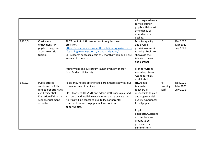|            |                               |                                                              | with targeted work  |          |                  |
|------------|-------------------------------|--------------------------------------------------------------|---------------------|----------|------------------|
|            |                               |                                                              | carried out for     |          |                  |
|            |                               |                                                              | pupils with lowest  |          |                  |
|            |                               |                                                              | attendance or       |          |                  |
|            |                               |                                                              | attendance in       |          |                  |
|            |                               |                                                              | decline.            |          |                  |
| B, D, E, G | Curriculum                    | All Y3 pupils in KS2 have access to regular music            | Monitor quality     | LB       | Dec 2020         |
|            | enrichment - PP               | provision,                                                   | and overall         |          | Mar 2021         |
|            | pupils to be given            | https://educationendowmentfoundation.org.uk/resource         | provision of music  |          | <b>July 2021</b> |
|            | access to music               | s/teaching-learning-toolkit/arts-participation/              | tutoring. Pupils to |          |                  |
|            | tuition.                      | EEF research suggests a gain of 2 months when pupils are     | showcase their      |          |                  |
|            |                               | involved in the arts.                                        | talents to peers    |          |                  |
|            |                               |                                                              | and parents.        |          |                  |
|            |                               |                                                              |                     |          |                  |
|            |                               | Author visits and curriculum launch events with staff        | Monitor writing     |          |                  |
|            |                               | from Durham University.                                      | workshops from      |          |                  |
|            |                               |                                                              | Adam Bushnell,      |          |                  |
|            |                               |                                                              | upskill staff       |          |                  |
| B, D, E, G | Pupils offered                | Pupils may not be able to take part in these activities due  | HT/Admin            | All      | Dec 2020         |
|            | subsidised or fully           | to low income of families.                                   | team/class          | teaching | Mar 2021         |
|            | funded opportunities          |                                                              | teachers all        | staff    | <b>July 2021</b> |
|            | e.g. Residential,             | Class teachers, HT /SMT and admin staff discuss planned      | responsible to plan |          |                  |
|            | <b>Educational Visits, in</b> | visit costs and available subsidies on a case by case basis. | and organise high   |          |                  |
|            | school enrichment             | No trips will be cancelled due to lack of parental           | quality experiences |          |                  |
|            | activities                    | contributions and no pupils will miss out on                 | for all pupils.     |          |                  |
|            |                               | opportunities.                                               |                     |          |                  |
|            |                               |                                                              | Pupil               |          |                  |
|            |                               |                                                              | passports/Curriculu |          |                  |
|            |                               |                                                              | m offer for year    |          |                  |
|            |                               |                                                              | groups to be        |          |                  |
|            |                               |                                                              | produced for        |          |                  |
|            |                               |                                                              | Summer term         |          |                  |